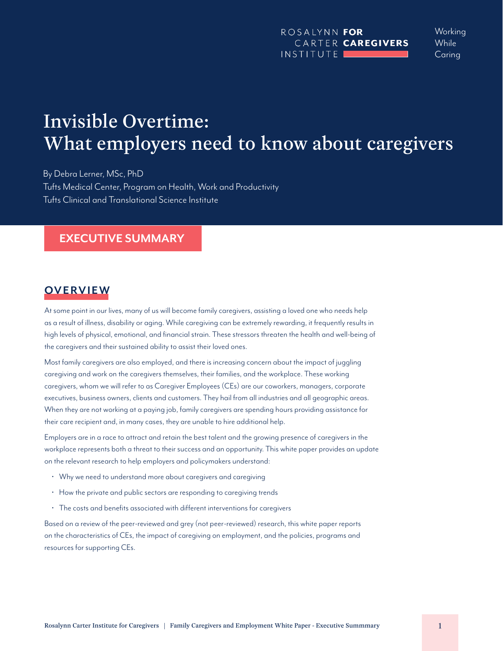# Working Caring

# Invisible Overtime: What employers need to know about caregivers

By Debra Lerner, MSc, PhD Tufts Medical Center, Program on Health, Work and Productivity Tufts Clinical and Translational Science Institute

#### **EXECUTIVE SUMMARY**

# **OVERVIEW**

At some point in our lives, many of us will become family caregivers, assisting a loved one who needs help as a result of illness, disability or aging. While caregiving can be extremely rewarding, it frequently results in high levels of physical, emotional, and financial strain. These stressors threaten the health and well-being of the caregivers and their sustained ability to assist their loved ones.

Most family caregivers are also employed, and there is increasing concern about the impact of juggling caregiving and work on the caregivers themselves, their families, and the workplace. These working caregivers, whom we will refer to as Caregiver Employees (CEs) are our coworkers, managers, corporate executives, business owners, clients and customers. They hail from all industries and all geographic areas. When they are not working at a paying job, family caregivers are spending hours providing assistance for their care recipient and, in many cases, they are unable to hire additional help.

Employers are in a race to attract and retain the best talent and the growing presence of caregivers in the workplace represents both a threat to their success and an opportunity. This white paper provides an update on the relevant research to help employers and policymakers understand:

- Why we need to understand more about caregivers and caregiving
- How the private and public sectors are responding to caregiving trends
- The costs and benefits associated with different interventions for caregivers

Based on a review of the peer-reviewed and grey (not peer-reviewed) research, this white paper reports on the characteristics of CEs, the impact of caregiving on employment, and the policies, programs and resources for supporting CEs.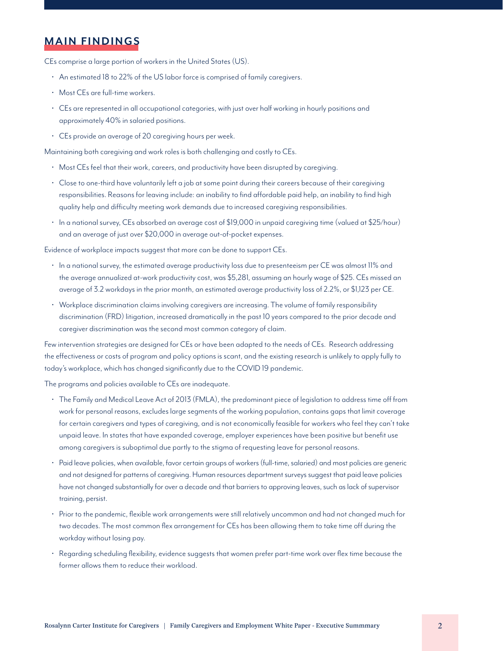## **MAIN FINDINGS**

CEs comprise a large portion of workers in the United States (US).

- An estimated 18 to 22% of the US labor force is comprised of family caregivers.
- Most CEs are full-time workers.
- CEs are represented in all occupational categories, with just over half working in hourly positions and approximately 40% in salaried positions.
- CEs provide an average of 20 caregiving hours per week.

Maintaining both caregiving and work roles is both challenging and costly to CEs.

- Most CEs feel that their work, careers, and productivity have been disrupted by caregiving.
- Close to one-third have voluntarily left a job at some point during their careers because of their caregiving responsibilities. Reasons for leaving include: an inability to find affordable paid help, an inability to find high quality help and difficulty meeting work demands due to increased caregiving responsibilities.
- In a national survey, CEs absorbed an average cost of \$19,000 in unpaid caregiving time (valued at \$25/hour) and an average of just over \$20,000 in average out-of-pocket expenses.

Evidence of workplace impacts suggest that more can be done to support CEs.

- In a national survey, the estimated average productivity loss due to presenteeism per CE was almost 11% and the average annualized at-work productivity cost, was \$5,281, assuming an hourly wage of \$25. CEs missed an average of 3.2 workdays in the prior month, an estimated average productivity loss of 2.2%, or \$1,123 per CE.
- Workplace discrimination claims involving caregivers are increasing. The volume of family responsibility discrimination (FRD) litigation, increased dramatically in the past 10 years compared to the prior decade and caregiver discrimination was the second most common category of claim.

Few intervention strategies are designed for CEs or have been adapted to the needs of CEs. Research addressing the effectiveness or costs of program and policy options is scant, and the existing research is unlikely to apply fully to today's workplace, which has changed significantly due to the COVID 19 pandemic.

The programs and policies available to CEs are inadequate.

- The Family and Medical Leave Act of 2013 (FMLA), the predominant piece of legislation to address time off from work for personal reasons, excludes large segments of the working population, contains gaps that limit coverage for certain caregivers and types of caregiving, and is not economically feasible for workers who feel they can't take unpaid leave. In states that have expanded coverage, employer experiences have been positive but benefit use among caregivers is suboptimal due partly to the stigma of requesting leave for personal reasons.
- Paid leave policies, when available, favor certain groups of workers (full-time, salaried) and most policies are generic and not designed for patterns of caregiving. Human resources department surveys suggest that paid leave policies have not changed substantially for over a decade and that barriers to approving leaves, such as lack of supervisor training, persist.
- Prior to the pandemic, flexible work arrangements were still relatively uncommon and had not changed much for two decades. The most common flex arrangement for CEs has been allowing them to take time off during the workday without losing pay.
- Regarding scheduling flexibility, evidence suggests that women prefer part-time work over flex time because the former allows them to reduce their workload.